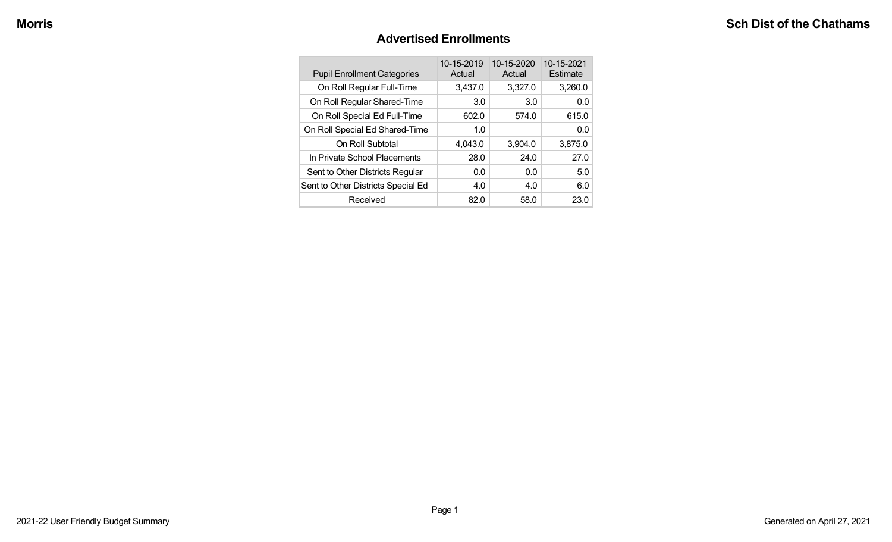#### **Advertised Enrollments**

| <b>Pupil Enrollment Categories</b> | 10-15-2019<br>Actual | 10-15-2020<br>Actual | 10-15-2021<br>Estimate |
|------------------------------------|----------------------|----------------------|------------------------|
| On Roll Regular Full-Time          | 3,437.0              | 3,327.0              | 3,260.0                |
| On Roll Regular Shared-Time        | 3.0                  | 3.0                  | 0.0                    |
| On Roll Special Ed Full-Time       | 602.0                | 574.0                | 615.0                  |
| On Roll Special Ed Shared-Time     | 1.0                  |                      | 0.0                    |
| On Roll Subtotal                   | 4,043.0              | 3,904.0              | 3,875.0                |
| In Private School Placements       | 28.0                 | 24.0                 | 27.0                   |
| Sent to Other Districts Regular    | 0.0                  | 0.0                  | 5.0                    |
| Sent to Other Districts Special Ed | 4.0                  | 4.0                  | 6.0                    |
| Received                           | 82.0                 | 58.0                 | 23.0                   |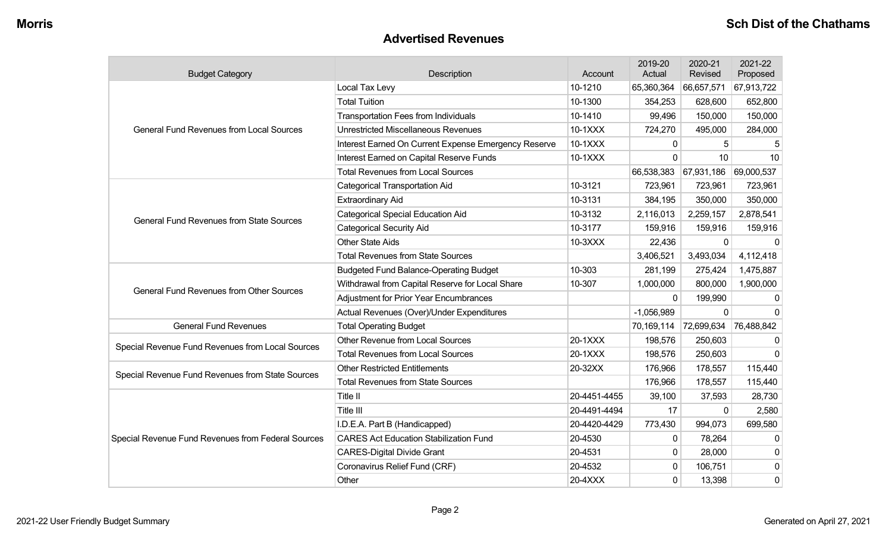#### **Advertised Revenues**

| <b>Budget Category</b>                             | Description<br>Account                               |              | 2019-20<br>Actual | 2020-21<br>Revised    | 2021-22<br>Proposed |
|----------------------------------------------------|------------------------------------------------------|--------------|-------------------|-----------------------|---------------------|
|                                                    | Local Tax Levy                                       | 10-1210      | 65,360,364        | 66,657,571            | 67,913,722          |
|                                                    | <b>Total Tuition</b>                                 | 10-1300      | 354,253           | 628,600               | 652,800             |
|                                                    | <b>Transportation Fees from Individuals</b>          | 10-1410      | 99,496            | 150,000               | 150,000             |
| <b>General Fund Revenues from Local Sources</b>    | <b>Unrestricted Miscellaneous Revenues</b>           | 10-1XXX      | 724,270           | 495,000               | 284,000             |
|                                                    | Interest Earned On Current Expense Emergency Reserve | 10-1XXX      | 0                 | 5                     |                     |
|                                                    | Interest Earned on Capital Reserve Funds             | 10-1XXX      | $\Omega$          | 10                    | 10                  |
|                                                    | <b>Total Revenues from Local Sources</b>             |              | 66,538,383        | 67,931,186            | 69,000,537          |
|                                                    | <b>Categorical Transportation Aid</b>                | 10-3121      | 723,961           | 723,961               | 723,961             |
|                                                    | Extraordinary Aid                                    | 10-3131      | 384,195           | 350,000               | 350,000             |
|                                                    | <b>Categorical Special Education Aid</b>             | 10-3132      | 2,116,013         | 2,259,157             | 2,878,541           |
| <b>General Fund Revenues from State Sources</b>    | <b>Categorical Security Aid</b>                      | 10-3177      | 159,916           | 159,916               | 159,916             |
|                                                    | <b>Other State Aids</b>                              | 10-3XXX      | 22,436            | $\mathbf{0}$          | $\Omega$            |
|                                                    | <b>Total Revenues from State Sources</b>             |              | 3,406,521         | 3,493,034             | 4,112,418           |
|                                                    | <b>Budgeted Fund Balance-Operating Budget</b>        | 10-303       | 281,199           | 275,424               | 1,475,887           |
| <b>General Fund Revenues from Other Sources</b>    | Withdrawal from Capital Reserve for Local Share      | 10-307       | 1,000,000         | 800,000               | 1,900,000           |
|                                                    | <b>Adjustment for Prior Year Encumbrances</b>        |              | $\Omega$          | 199,990               | 0                   |
|                                                    | Actual Revenues (Over)/Under Expenditures            |              | $-1,056,989$      | $\mathbf 0$           | $\Omega$            |
| <b>General Fund Revenues</b>                       | <b>Total Operating Budget</b>                        |              | 70,169,114        | 72,699,634 76,488,842 |                     |
|                                                    | Other Revenue from Local Sources                     | 20-1XXX      | 198,576           | 250,603               | 0                   |
| Special Revenue Fund Revenues from Local Sources   | <b>Total Revenues from Local Sources</b>             | 20-1XXX      | 198,576           | 250,603               | $\mathbf 0$         |
| Special Revenue Fund Revenues from State Sources   | <b>Other Restricted Entitlements</b>                 | 20-32XX      | 176,966           | 178,557               | 115,440             |
|                                                    | <b>Total Revenues from State Sources</b>             |              | 176,966           | 178,557               | 115,440             |
|                                                    | Title II                                             | 20-4451-4455 | 39,100            | 37,593                | 28,730              |
|                                                    | Title III                                            | 20-4491-4494 | 17                | $\mathbf 0$           | 2,580               |
|                                                    | I.D.E.A. Part B (Handicapped)                        | 20-4420-4429 | 773,430           | 994,073               | 699,580             |
| Special Revenue Fund Revenues from Federal Sources | <b>CARES Act Education Stabilization Fund</b>        | 20-4530      | $\mathbf{0}$      | 78,264                | 0                   |
|                                                    | <b>CARES-Digital Divide Grant</b>                    | 20-4531      | 0                 | 28,000                | 0                   |
|                                                    | Coronavirus Relief Fund (CRF)                        | 20-4532      | $\mathbf{0}$      | 106,751               | 0                   |
|                                                    | Other                                                | 20-4XXX      | $\Omega$          | 13,398                | 0                   |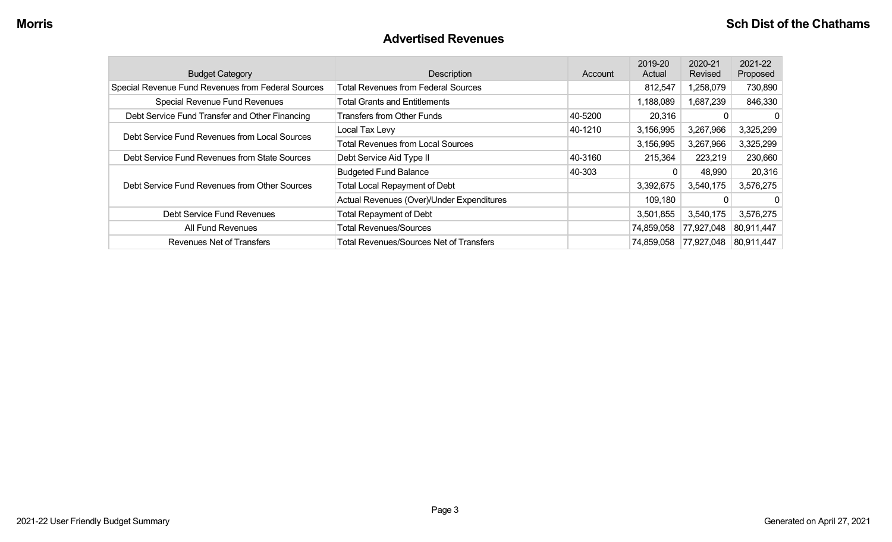#### **Advertised Revenues**

| <b>Budget Category</b>                             | Description                                    | Account | 2019-20<br>Actual | 2020-21<br>Revised | 2021-22<br>Proposed |
|----------------------------------------------------|------------------------------------------------|---------|-------------------|--------------------|---------------------|
| Special Revenue Fund Revenues from Federal Sources | <b>Total Revenues from Federal Sources</b>     |         | 812,547           | 1,258,079          | 730,890             |
| Special Revenue Fund Revenues                      | <b>Total Grants and Entitlements</b>           |         | 1,188,089         | 1,687,239          | 846,330             |
| Debt Service Fund Transfer and Other Financing     | <b>Transfers from Other Funds</b>              | 40-5200 | 20,316            |                    | $\Omega$            |
| Debt Service Fund Revenues from Local Sources      | Local Tax Levy                                 | 40-1210 | 3,156,995         | 3,267,966          | 3,325,299           |
|                                                    | <b>Total Revenues from Local Sources</b>       |         | 3,156,995         | 3,267,966          | 3,325,299           |
| Debt Service Fund Revenues from State Sources      | 40-3160<br>Debt Service Aid Type II            |         | 215,364           | 223,219            | 230,660             |
|                                                    | <b>Budgeted Fund Balance</b>                   | 40-303  | 0                 | 48,990             | 20,316              |
| Debt Service Fund Revenues from Other Sources      | Total Local Repayment of Debt                  |         | 3,392,675         | 3,540,175          | 3,576,275           |
|                                                    | Actual Revenues (Over)/Under Expenditures      |         | 109,180           | $\Omega$           | $\Omega$            |
| Debt Service Fund Revenues                         | <b>Total Repayment of Debt</b>                 |         | 3,501,855         | 3,540,175          | 3,576,275           |
| All Fund Revenues                                  | <b>Total Revenues/Sources</b>                  |         | 74,859,058        | 77,927,048         | 80,911,447          |
| Revenues Net of Transfers                          | <b>Total Revenues/Sources Net of Transfers</b> |         | 74,859,058        | 77,927,048         | 80,911,447          |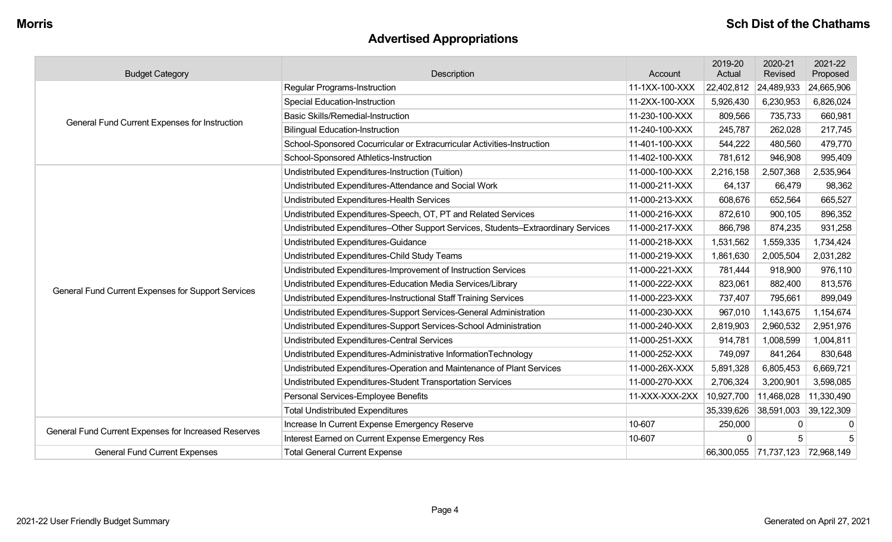# **Advertised Appropriations**

| <b>Budget Category</b>                               | Description                                                                        | Account        | 2019-20<br>Actual | 2020-21<br>Revised               | 2021-22<br>Proposed |
|------------------------------------------------------|------------------------------------------------------------------------------------|----------------|-------------------|----------------------------------|---------------------|
|                                                      | <b>Regular Programs-Instruction</b>                                                | 11-1XX-100-XXX | 22,402,812        | 24,489,933                       | 24,665,906          |
|                                                      | <b>Special Education-Instruction</b>                                               | 11-2XX-100-XXX | 5,926,430         | 6,230,953                        | 6,826,024           |
| General Fund Current Expenses for Instruction        | <b>Basic Skills/Remedial-Instruction</b>                                           | 11-230-100-XXX | 809,566           | 735,733                          | 660,981             |
|                                                      | <b>Bilingual Education-Instruction</b>                                             | 11-240-100-XXX | 245,787           | 262,028                          | 217,745             |
|                                                      | School-Sponsored Cocurricular or Extracurricular Activities-Instruction            | 11-401-100-XXX | 544,222           | 480,560                          | 479,770             |
|                                                      | School-Sponsored Athletics-Instruction                                             | 11-402-100-XXX | 781,612           | 946,908                          | 995,409             |
|                                                      | Undistributed Expenditures-Instruction (Tuition)                                   | 11-000-100-XXX | 2,216,158         | 2,507,368                        | 2,535,964           |
|                                                      | Undistributed Expenditures-Attendance and Social Work                              | 11-000-211-XXX | 64,137            | 66,479                           | 98,362              |
|                                                      | Undistributed Expenditures-Health Services                                         | 11-000-213-XXX | 608,676           | 652,564                          | 665,527             |
|                                                      | Undistributed Expenditures-Speech, OT, PT and Related Services                     | 11-000-216-XXX | 872,610           | 900,105                          | 896,352             |
|                                                      | Undistributed Expenditures-Other Support Services, Students-Extraordinary Services | 11-000-217-XXX | 866,798           | 874,235                          | 931,258             |
|                                                      | Undistributed Expenditures-Guidance                                                | 11-000-218-XXX | 1,531,562         | 1,559,335                        | 1,734,424           |
|                                                      | Undistributed Expenditures-Child Study Teams                                       | 11-000-219-XXX | 1,861,630         | 2,005,504                        | 2,031,282           |
|                                                      | Undistributed Expenditures-Improvement of Instruction Services                     | 11-000-221-XXX | 781,444           | 918,900                          | 976,110             |
| General Fund Current Expenses for Support Services   | Undistributed Expenditures-Education Media Services/Library                        | 11-000-222-XXX | 823,061           | 882,400                          | 813,576             |
|                                                      | Undistributed Expenditures-Instructional Staff Training Services                   | 11-000-223-XXX | 737,407           | 795,661                          | 899,049             |
|                                                      | Undistributed Expenditures-Support Services-General Administration                 | 11-000-230-XXX | 967,010           | 1,143,675                        | 1,154,674           |
|                                                      | Undistributed Expenditures-Support Services-School Administration                  | 11-000-240-XXX | 2,819,903         | 2,960,532                        | 2,951,976           |
|                                                      | <b>Undistributed Expenditures-Central Services</b>                                 | 11-000-251-XXX | 914,781           | 1,008,599                        | 1,004,811           |
|                                                      | Undistributed Expenditures-Administrative InformationTechnology                    | 11-000-252-XXX | 749,097           | 841,264                          | 830,648             |
|                                                      | Undistributed Expenditures-Operation and Maintenance of Plant Services             | 11-000-26X-XXX | 5,891,328         | 6,805,453                        | 6,669,721           |
|                                                      | Undistributed Expenditures-Student Transportation Services                         | 11-000-270-XXX | 2,706,324         | 3,200,901                        | 3,598,085           |
|                                                      | Personal Services-Employee Benefits                                                | 11-XXX-XXX-2XX | 10,927,700        | 11,468,028                       | 11,330,490          |
|                                                      | <b>Total Undistributed Expenditures</b>                                            |                | 35,339,626        | 38,591,003                       | 39,122,309          |
| General Fund Current Expenses for Increased Reserves | Increase In Current Expense Emergency Reserve                                      | 10-607         | 250,000           | 0                                | 0                   |
|                                                      | Interest Earned on Current Expense Emergency Res                                   | 10-607         | $\Omega$          | 5                                |                     |
| <b>General Fund Current Expenses</b>                 | <b>Total General Current Expense</b>                                               |                |                   | 66,300,055 71,737,123 72,968,149 |                     |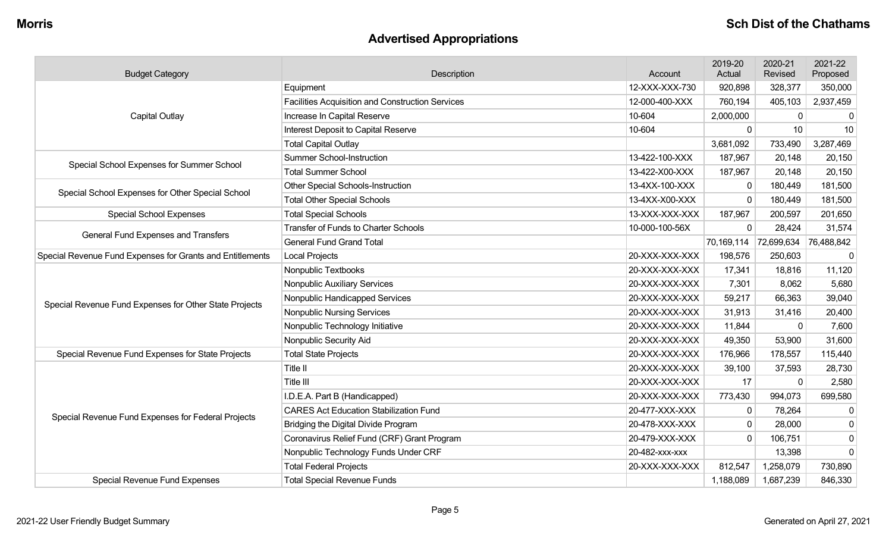# **Advertised Appropriations**

| <b>Budget Category</b>                                    | Description                                             | Account        | 2019-20<br>Actual | 2020-21<br>Revised | 2021-22<br>Proposed |
|-----------------------------------------------------------|---------------------------------------------------------|----------------|-------------------|--------------------|---------------------|
|                                                           | Equipment                                               | 12-XXX-XXX-730 | 920,898           | 328,377            | 350,000             |
|                                                           | <b>Facilities Acquisition and Construction Services</b> | 12-000-400-XXX | 760,194           | 405,103            | 2,937,459           |
| <b>Capital Outlay</b>                                     | Increase In Capital Reserve                             | 10-604         | 2,000,000         | 0                  | 0                   |
|                                                           | Interest Deposit to Capital Reserve                     | 10-604         | $\mathbf 0$       | 10                 | 10                  |
|                                                           | <b>Total Capital Outlay</b>                             |                | 3,681,092         | 733,490            | 3,287,469           |
| Special School Expenses for Summer School                 | <b>Summer School-Instruction</b>                        | 13-422-100-XXX | 187,967           | 20,148             | 20,150              |
|                                                           | <b>Total Summer School</b>                              | 13-422-X00-XXX | 187,967           | 20,148             | 20,150              |
| Special School Expenses for Other Special School          | <b>Other Special Schools-Instruction</b>                | 13-4XX-100-XXX | $\Omega$          | 180,449            | 181,500             |
|                                                           | <b>Total Other Special Schools</b>                      | 13-4XX-X00-XXX | $\Omega$          | 180,449            | 181,500             |
| <b>Special School Expenses</b>                            | <b>Total Special Schools</b>                            | 13-XXX-XXX-XXX | 187,967           | 200,597            | 201,650             |
| General Fund Expenses and Transfers                       | <b>Transfer of Funds to Charter Schools</b>             | 10-000-100-56X | $\mathbf 0$       | 28,424             | 31,574              |
|                                                           | <b>General Fund Grand Total</b>                         |                | 70,169,114        | 72,699,634         | 76,488,842          |
| Special Revenue Fund Expenses for Grants and Entitlements | <b>Local Projects</b>                                   | 20-XXX-XXX-XXX | 198,576           | 250,603            | $\mathbf 0$         |
|                                                           | Nonpublic Textbooks                                     | 20-XXX-XXX-XXX | 17,341            | 18,816             | 11,120              |
|                                                           | <b>Nonpublic Auxiliary Services</b>                     | 20-XXX-XXX-XXX | 7,301             | 8,062              | 5,680               |
|                                                           | Nonpublic Handicapped Services                          | 20-XXX-XXX-XXX | 59,217            | 66,363             | 39,040              |
| Special Revenue Fund Expenses for Other State Projects    | <b>Nonpublic Nursing Services</b>                       | 20-XXX-XXX-XXX | 31,913            | 31,416             | 20,400              |
|                                                           | Nonpublic Technology Initiative                         | 20-XXX-XXX-XXX | 11,844            | $\mathbf{0}$       | 7,600               |
|                                                           | Nonpublic Security Aid                                  | 20-XXX-XXX-XXX | 49,350            | 53,900             | 31,600              |
| Special Revenue Fund Expenses for State Projects          | <b>Total State Projects</b>                             | 20-XXX-XXX-XXX | 176,966           | 178,557            | 115,440             |
|                                                           | Title II                                                | 20-XXX-XXX-XXX | 39,100            | 37,593             | 28,730              |
|                                                           | Title III                                               | 20-XXX-XXX-XXX | 17                | $\Omega$           | 2,580               |
|                                                           | I.D.E.A. Part B (Handicapped)                           | 20-XXX-XXX-XXX | 773,430           | 994,073            | 699,580             |
| Special Revenue Fund Expenses for Federal Projects        | <b>CARES Act Education Stabilization Fund</b>           | 20-477-XXX-XXX | $\mathbf 0$       | 78,264             | $\mathbf 0$         |
|                                                           | Bridging the Digital Divide Program                     | 20-478-XXX-XXX | $\mathbf 0$       | 28,000             | $\mathbf 0$         |
|                                                           | Coronavirus Relief Fund (CRF) Grant Program             | 20-479-XXX-XXX | $\mathbf 0$       | 106,751            | $\mathbf 0$         |
|                                                           | Nonpublic Technology Funds Under CRF                    | 20-482-xxx-xxx |                   | 13,398             | $\mathbf 0$         |
|                                                           | <b>Total Federal Projects</b>                           | 20-XXX-XXX-XXX | 812,547           | 1,258,079          | 730,890             |
| Special Revenue Fund Expenses                             | <b>Total Special Revenue Funds</b>                      |                | 1,188,089         | 1,687,239          | 846,330             |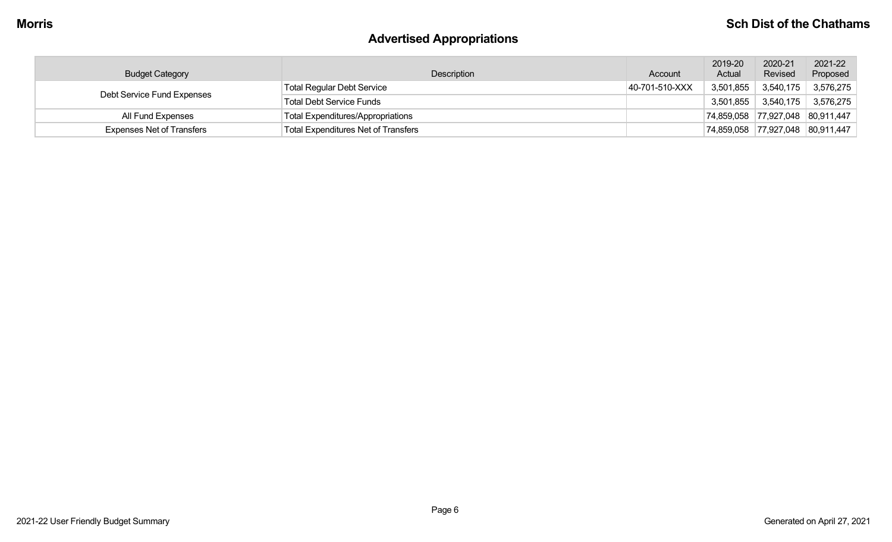# **Advertised Appropriations**

| <b>Budget Category</b>           | Description                         | Account        | 2019-20<br>Actual | 2020-21<br>Revised    | 2021-22<br>Proposed              |
|----------------------------------|-------------------------------------|----------------|-------------------|-----------------------|----------------------------------|
| Debt Service Fund Expenses       | Total Regular Debt Service          | 40-701-510-XXX |                   | $3,501,855$ 3,540,175 | 3,576,275                        |
|                                  | Total Debt Service Funds            |                | 3,501,855         | 3,540,175             | 3,576,275                        |
| All Fund Expenses                | Total Expenditures/Appropriations   |                |                   |                       | 74,859,058 77,927,048 80,911,447 |
| <b>Expenses Net of Transfers</b> | Total Expenditures Net of Transfers |                |                   |                       | 74,859,058 77,927,048 80,911,447 |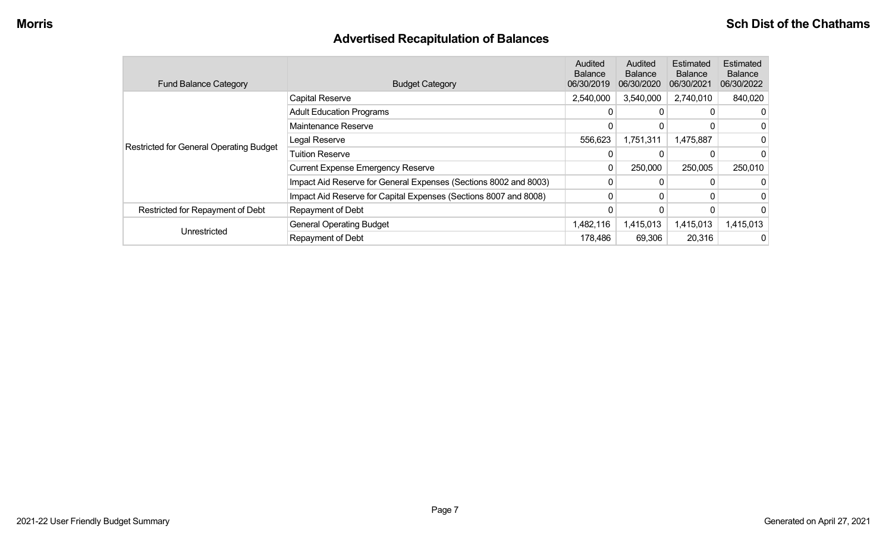# **Advertised Recapitulation of Balances**

| <b>Fund Balance Category</b>                   | <b>Budget Category</b>                                           | Audited<br><b>Balance</b><br>06/30/2019 | Audited<br><b>Balance</b><br>06/30/2020 | Estimated<br><b>Balance</b><br>06/30/2021 | Estimated<br><b>Balance</b><br>06/30/2022 |
|------------------------------------------------|------------------------------------------------------------------|-----------------------------------------|-----------------------------------------|-------------------------------------------|-------------------------------------------|
|                                                | <b>Capital Reserve</b>                                           | 2,540,000                               | 3,540,000                               | 2,740,010                                 | 840,020                                   |
|                                                | <b>Adult Education Programs</b>                                  |                                         |                                         |                                           | 0                                         |
|                                                | Maintenance Reserve                                              |                                         |                                         |                                           | 0                                         |
| <b>Restricted for General Operating Budget</b> | Legal Reserve                                                    | 556,623                                 | 1,751,311                               | 1,475,887                                 | 0                                         |
|                                                | <b>Tuition Reserve</b>                                           |                                         |                                         |                                           | 0                                         |
|                                                | <b>Current Expense Emergency Reserve</b>                         | 0                                       | 250,000                                 | 250,005                                   | 250,010                                   |
|                                                | Impact Aid Reserve for General Expenses (Sections 8002 and 8003) |                                         |                                         |                                           | 0                                         |
|                                                | Impact Aid Reserve for Capital Expenses (Sections 8007 and 8008) | 0                                       | 0                                       |                                           | 0                                         |
| Restricted for Repayment of Debt               | <b>Repayment of Debt</b>                                         |                                         |                                         |                                           | 0                                         |
|                                                | <b>General Operating Budget</b>                                  | 1,482,116                               | 1,415,013                               | 1,415,013                                 | 1,415,013                                 |
| Unrestricted                                   | <b>Repayment of Debt</b>                                         | 178,486                                 | 69,306                                  | 20,316                                    | 0                                         |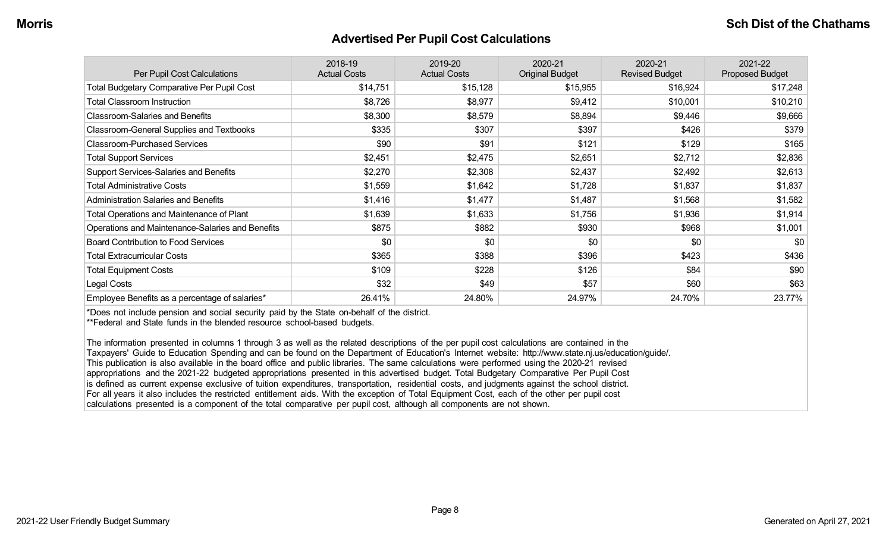#### **Advertised Per Pupil Cost Calculations**

| Per Pupil Cost Calculations                      | 2018-19<br><b>Actual Costs</b> | 2019-20<br><b>Actual Costs</b> | 2020-21<br><b>Original Budget</b> | 2020-21<br><b>Revised Budget</b> | 2021-22<br><b>Proposed Budget</b> |
|--------------------------------------------------|--------------------------------|--------------------------------|-----------------------------------|----------------------------------|-----------------------------------|
| Total Budgetary Comparative Per Pupil Cost       | \$14,751                       | \$15,128                       | \$15,955                          | \$16,924                         | \$17,248                          |
| <b>Total Classroom Instruction</b>               | \$8,726                        | \$8,977                        | \$9,412                           | \$10,001                         | \$10,210                          |
| <b>Classroom-Salaries and Benefits</b>           | \$8,300                        | \$8,579                        | \$8,894                           | \$9,446                          | \$9,666                           |
| Classroom-General Supplies and Textbooks         | \$335                          | \$307                          | \$397                             | \$426                            | \$379                             |
| <b>Classroom-Purchased Services</b>              | \$90                           | \$91                           | \$121                             | \$129                            | \$165                             |
| <b>Total Support Services</b>                    | \$2,451                        | \$2,475                        | \$2,651                           | \$2,712                          | \$2,836                           |
| <b>Support Services-Salaries and Benefits</b>    | \$2,270                        | \$2,308                        | \$2,437                           | \$2,492                          | \$2,613                           |
| <b>Total Administrative Costs</b>                | \$1,559                        | \$1,642                        | \$1,728                           | \$1,837                          | \$1,837                           |
| <b>Administration Salaries and Benefits</b>      | \$1,416                        | \$1,477                        | \$1,487                           | \$1,568                          | \$1,582                           |
| Total Operations and Maintenance of Plant        | \$1,639                        | \$1,633                        | \$1,756                           | \$1,936                          | \$1,914                           |
| Operations and Maintenance-Salaries and Benefits | \$875                          | \$882                          | \$930                             | \$968                            | \$1,001                           |
| <b>Board Contribution to Food Services</b>       | \$0                            | \$0                            | \$0                               | \$0                              | \$0                               |
| <b>Total Extracurricular Costs</b>               | \$365                          | \$388                          | \$396                             | \$423                            | \$436                             |
| <b>Total Equipment Costs</b>                     | \$109                          | \$228                          | \$126                             | \$84                             | \$90                              |
| Legal Costs                                      | \$32                           | \$49                           | \$57                              | \$60                             | \$63                              |
| Employee Benefits as a percentage of salaries*   | 26.41%                         | 24.80%                         | 24.97%                            | 24.70%                           | 23.77%                            |

\*Does not include pension and social security paid by the State on-behalf of the district.

\*\*Federal and State funds in the blended resource school-based budgets.

The information presented in columns 1 through 3 as well as the related descriptions of the per pupil cost calculations are contained in the Taxpayers' Guide to Education Spending and can be found on the Department of Education's Internet website: http://www.state.nj.us/education/guide/. This publication is also available in the board office and public libraries. The same calculations were performed using the 2020-21 revised appropriations and the 2021-22 budgeted appropriations presented in this advertised budget. Total Budgetary Comparative Per Pupil Cost is defined as current expense exclusive of tuition expenditures, transportation, residential costs, and judgments against the school district. For all years it also includes the restricted entitlement aids. With the exception of Total Equipment Cost, each of the other per pupil cost calculations presented is a component of the total comparative per pupil cost, although all components are not shown.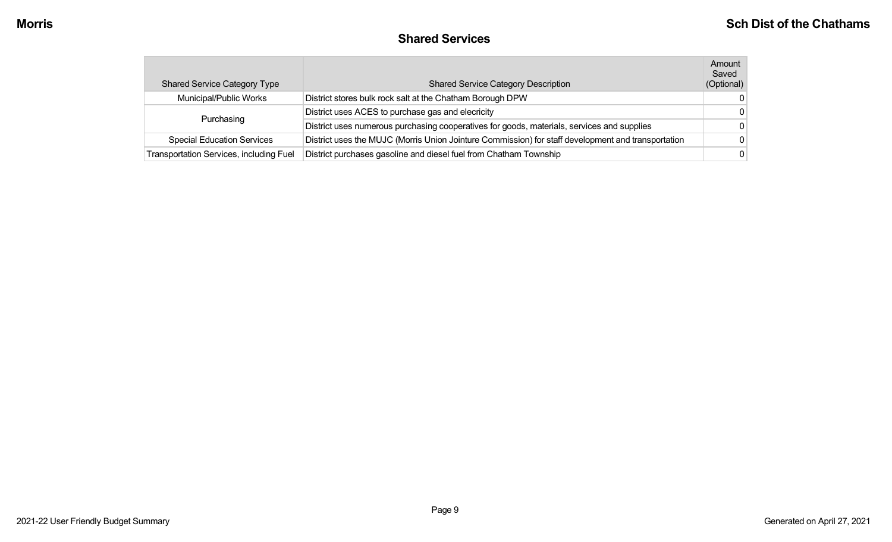#### **Shared Services**

| <b>Shared Service Category Type</b>     | <b>Shared Service Category Description</b>                                                         | Amount<br>Saved<br>(Optional) |
|-----------------------------------------|----------------------------------------------------------------------------------------------------|-------------------------------|
| Municipal/Public Works                  | District stores bulk rock salt at the Chatham Borough DPW                                          | $\Omega$                      |
| Purchasing                              | District uses ACES to purchase gas and elecricity                                                  | - 0                           |
|                                         | District uses numerous purchasing cooperatives for goods, materials, services and supplies         | $\Omega$                      |
| <b>Special Education Services</b>       | District uses the MUJC (Morris Union Jointure Commission) for staff development and transportation | $\Omega$                      |
| Transportation Services, including Fuel | District purchases gasoline and diesel fuel from Chatham Township                                  | $\Omega$                      |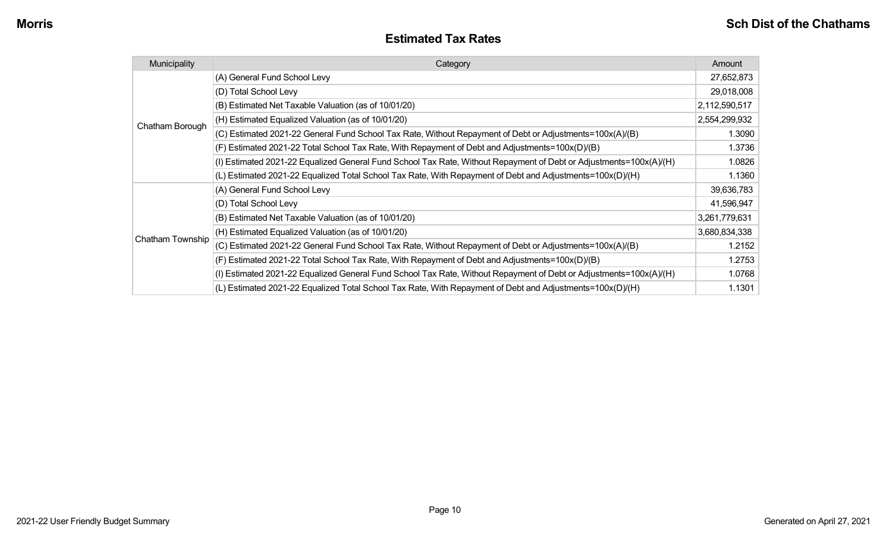#### **Estimated Tax Rates**

| Municipality     | Category                                                                                                           | Amount        |
|------------------|--------------------------------------------------------------------------------------------------------------------|---------------|
|                  | (A) General Fund School Levy                                                                                       | 27,652,873    |
|                  | (D) Total School Levy                                                                                              | 29,018,008    |
|                  | (B) Estimated Net Taxable Valuation (as of 10/01/20)                                                               | 2,112,590,517 |
| Chatham Borough  | (H) Estimated Equalized Valuation (as of 10/01/20)                                                                 | 2,554,299,932 |
|                  | (C) Estimated 2021-22 General Fund School Tax Rate, Without Repayment of Debt or Adjustments=100x(A)/(B)           | 1.3090        |
|                  | (F) Estimated 2021-22 Total School Tax Rate, With Repayment of Debt and Adjustments=100x(D)/(B)                    | 1.3736        |
|                  | (I) Estimated 2021-22 Equalized General Fund School Tax Rate, Without Repayment of Debt or Adjustments=100x(A)/(H) | 1.0826        |
|                  | (L) Estimated 2021-22 Equalized Total School Tax Rate, With Repayment of Debt and Adjustments=100x(D)/(H)          | 1.1360        |
|                  | (A) General Fund School Levy                                                                                       | 39,636,783    |
|                  | (D) Total School Levy                                                                                              | 41,596,947    |
|                  | (B) Estimated Net Taxable Valuation (as of 10/01/20)                                                               | 3,261,779,631 |
|                  | (H) Estimated Equalized Valuation (as of 10/01/20)                                                                 | 3,680,834,338 |
| Chatham Township | (C) Estimated 2021-22 General Fund School Tax Rate, Without Repayment of Debt or Adjustments=100x(A)/(B)           | 1.2152        |
|                  | (F) Estimated 2021-22 Total School Tax Rate, With Repayment of Debt and Adjustments=100x(D)/(B)                    | 1.2753        |
|                  | (I) Estimated 2021-22 Equalized General Fund School Tax Rate, Without Repayment of Debt or Adjustments=100x(A)/(H) | 1.0768        |
|                  | (L) Estimated 2021-22 Equalized Total School Tax Rate, With Repayment of Debt and Adjustments=100x(D)/(H)          | 1.1301        |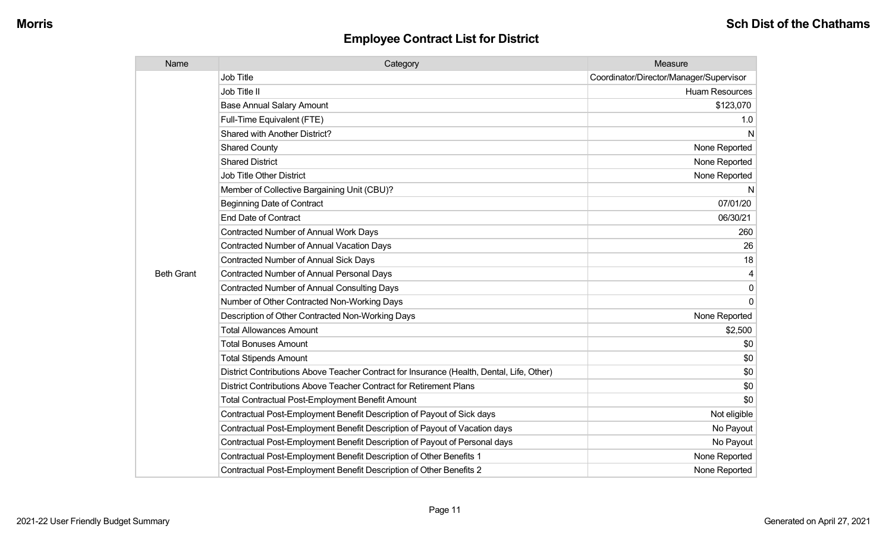| Name              | Category                                                                                  | Measure                                 |
|-------------------|-------------------------------------------------------------------------------------------|-----------------------------------------|
|                   | <b>Job Title</b>                                                                          | Coordinator/Director/Manager/Supervisor |
|                   | Job Title II                                                                              | <b>Huam Resources</b>                   |
|                   | <b>Base Annual Salary Amount</b>                                                          | \$123,070                               |
|                   | Full-Time Equivalent (FTE)                                                                | 1.0                                     |
|                   | Shared with Another District?                                                             | N                                       |
|                   | <b>Shared County</b>                                                                      | None Reported                           |
|                   | <b>Shared District</b>                                                                    | None Reported                           |
|                   | <b>Job Title Other District</b>                                                           | None Reported                           |
|                   | Member of Collective Bargaining Unit (CBU)?                                               | N                                       |
|                   | <b>Beginning Date of Contract</b>                                                         | 07/01/20                                |
|                   | <b>End Date of Contract</b>                                                               | 06/30/21                                |
|                   | Contracted Number of Annual Work Days                                                     | 260                                     |
|                   | <b>Contracted Number of Annual Vacation Days</b>                                          | 26                                      |
|                   | <b>Contracted Number of Annual Sick Days</b>                                              | 18                                      |
| <b>Beth Grant</b> | <b>Contracted Number of Annual Personal Days</b>                                          |                                         |
|                   | <b>Contracted Number of Annual Consulting Days</b>                                        | $\Omega$                                |
|                   | Number of Other Contracted Non-Working Days                                               | $\Omega$                                |
|                   | Description of Other Contracted Non-Working Days                                          | None Reported                           |
|                   | <b>Total Allowances Amount</b>                                                            | \$2,500                                 |
|                   | <b>Total Bonuses Amount</b>                                                               | \$0                                     |
|                   | <b>Total Stipends Amount</b>                                                              | \$0                                     |
|                   | District Contributions Above Teacher Contract for Insurance (Health, Dental, Life, Other) | \$0                                     |
|                   | District Contributions Above Teacher Contract for Retirement Plans                        | \$0                                     |
|                   | <b>Total Contractual Post-Employment Benefit Amount</b>                                   | \$0                                     |
|                   | Contractual Post-Employment Benefit Description of Payout of Sick days                    | Not eligible                            |
|                   | Contractual Post-Employment Benefit Description of Payout of Vacation days                | No Payout                               |
|                   | Contractual Post-Employment Benefit Description of Payout of Personal days                | No Payout                               |
|                   | Contractual Post-Employment Benefit Description of Other Benefits 1                       | None Reported                           |
|                   | Contractual Post-Employment Benefit Description of Other Benefits 2                       | None Reported                           |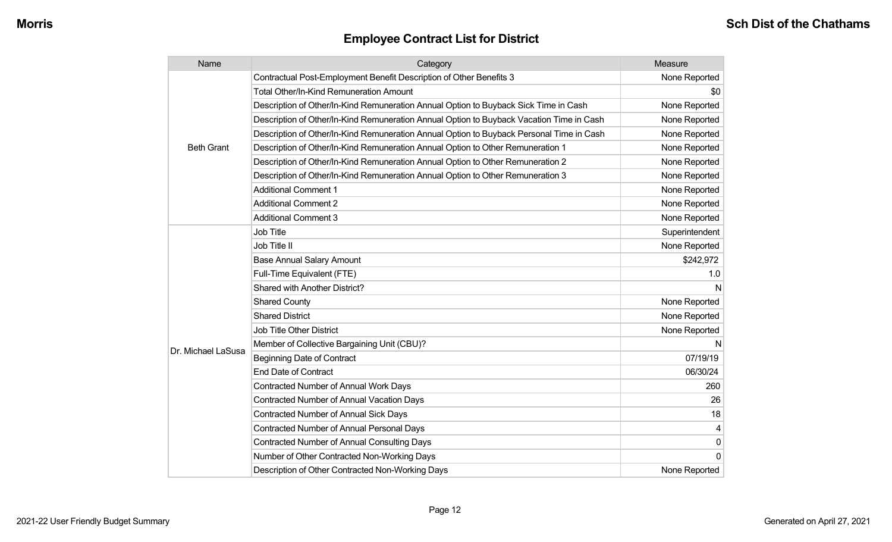| Name               | Category                                                                                 | Measure        |
|--------------------|------------------------------------------------------------------------------------------|----------------|
|                    | Contractual Post-Employment Benefit Description of Other Benefits 3                      | None Reported  |
|                    | <b>Total Other/In-Kind Remuneration Amount</b>                                           | \$0            |
|                    | Description of Other/In-Kind Remuneration Annual Option to Buyback Sick Time in Cash     | None Reported  |
|                    | Description of Other/In-Kind Remuneration Annual Option to Buyback Vacation Time in Cash | None Reported  |
|                    | Description of Other/In-Kind Remuneration Annual Option to Buyback Personal Time in Cash | None Reported  |
| <b>Beth Grant</b>  | Description of Other/In-Kind Remuneration Annual Option to Other Remuneration 1          | None Reported  |
|                    | Description of Other/In-Kind Remuneration Annual Option to Other Remuneration 2          | None Reported  |
|                    | Description of Other/In-Kind Remuneration Annual Option to Other Remuneration 3          | None Reported  |
|                    | <b>Additional Comment 1</b>                                                              | None Reported  |
|                    | <b>Additional Comment 2</b>                                                              | None Reported  |
|                    | <b>Additional Comment 3</b>                                                              | None Reported  |
|                    | <b>Job Title</b>                                                                         | Superintendent |
|                    | Job Title II                                                                             | None Reported  |
|                    | <b>Base Annual Salary Amount</b>                                                         | \$242,972      |
|                    | Full-Time Equivalent (FTE)                                                               | 1.0            |
|                    | Shared with Another District?                                                            | N              |
|                    | <b>Shared County</b>                                                                     | None Reported  |
|                    | <b>Shared District</b>                                                                   | None Reported  |
|                    | <b>Job Title Other District</b>                                                          | None Reported  |
| Dr. Michael LaSusa | Member of Collective Bargaining Unit (CBU)?                                              | N              |
|                    | <b>Beginning Date of Contract</b>                                                        | 07/19/19       |
|                    | <b>End Date of Contract</b>                                                              | 06/30/24       |
|                    | <b>Contracted Number of Annual Work Days</b>                                             | 260            |
|                    | <b>Contracted Number of Annual Vacation Days</b>                                         | 26             |
|                    | <b>Contracted Number of Annual Sick Days</b>                                             | 18             |
|                    | Contracted Number of Annual Personal Days                                                | 4              |
|                    | <b>Contracted Number of Annual Consulting Days</b>                                       | 0              |
|                    | Number of Other Contracted Non-Working Days                                              | $\Omega$       |
|                    | Description of Other Contracted Non-Working Days                                         | None Reported  |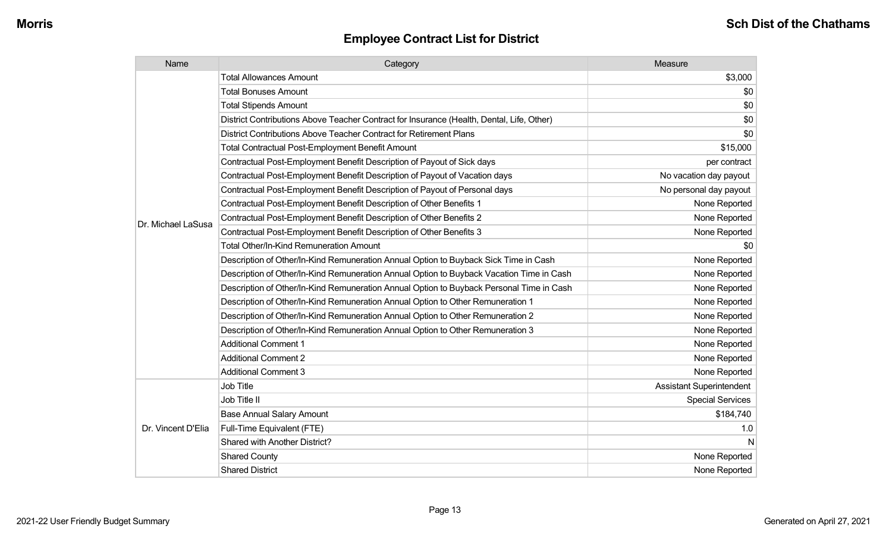| Name               | Category                                                                                  | Measure                         |
|--------------------|-------------------------------------------------------------------------------------------|---------------------------------|
|                    | <b>Total Allowances Amount</b>                                                            | \$3,000                         |
|                    | <b>Total Bonuses Amount</b>                                                               | \$0                             |
|                    | <b>Total Stipends Amount</b>                                                              | \$0                             |
|                    | District Contributions Above Teacher Contract for Insurance (Health, Dental, Life, Other) | \$0                             |
|                    | District Contributions Above Teacher Contract for Retirement Plans                        | \$0                             |
|                    | <b>Total Contractual Post-Employment Benefit Amount</b>                                   | \$15,000                        |
|                    | Contractual Post-Employment Benefit Description of Payout of Sick days                    | per contract                    |
|                    | Contractual Post-Employment Benefit Description of Payout of Vacation days                | No vacation day payout          |
|                    | Contractual Post-Employment Benefit Description of Payout of Personal days                | No personal day payout          |
|                    | Contractual Post-Employment Benefit Description of Other Benefits 1                       | None Reported                   |
| Dr. Michael LaSusa | Contractual Post-Employment Benefit Description of Other Benefits 2                       | None Reported                   |
|                    | Contractual Post-Employment Benefit Description of Other Benefits 3                       | None Reported                   |
|                    | <b>Total Other/In-Kind Remuneration Amount</b>                                            | \$0                             |
|                    | Description of Other/In-Kind Remuneration Annual Option to Buyback Sick Time in Cash      | None Reported                   |
|                    | Description of Other/In-Kind Remuneration Annual Option to Buyback Vacation Time in Cash  | None Reported                   |
|                    | Description of Other/In-Kind Remuneration Annual Option to Buyback Personal Time in Cash  | None Reported                   |
|                    | Description of Other/In-Kind Remuneration Annual Option to Other Remuneration 1           | None Reported                   |
|                    | Description of Other/In-Kind Remuneration Annual Option to Other Remuneration 2           | None Reported                   |
|                    | Description of Other/In-Kind Remuneration Annual Option to Other Remuneration 3           | None Reported                   |
|                    | <b>Additional Comment 1</b>                                                               | None Reported                   |
|                    | <b>Additional Comment 2</b>                                                               | None Reported                   |
|                    | <b>Additional Comment 3</b>                                                               | None Reported                   |
|                    | Job Title                                                                                 | <b>Assistant Superintendent</b> |
| Dr. Vincent D'Elia | Job Title II                                                                              | <b>Special Services</b>         |
|                    | <b>Base Annual Salary Amount</b>                                                          | \$184,740                       |
|                    | Full-Time Equivalent (FTE)                                                                | 1.0                             |
|                    | Shared with Another District?                                                             | N                               |
|                    | <b>Shared County</b>                                                                      | None Reported                   |
|                    | <b>Shared District</b>                                                                    | None Reported                   |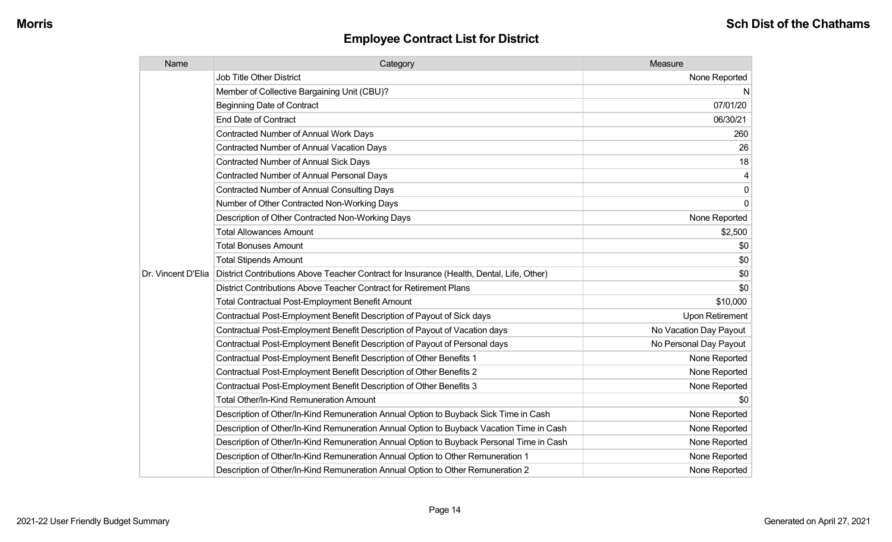| Name               | Category                                                                                  | Measure                |
|--------------------|-------------------------------------------------------------------------------------------|------------------------|
|                    | <b>Job Title Other District</b>                                                           | None Reported          |
|                    | Member of Collective Bargaining Unit (CBU)?                                               | N                      |
|                    | <b>Beginning Date of Contract</b>                                                         | 07/01/20               |
|                    | <b>End Date of Contract</b>                                                               | 06/30/21               |
|                    | Contracted Number of Annual Work Days                                                     | 260                    |
|                    | Contracted Number of Annual Vacation Days                                                 | 26                     |
|                    | <b>Contracted Number of Annual Sick Days</b>                                              | 18                     |
|                    | Contracted Number of Annual Personal Days                                                 | 4                      |
|                    | <b>Contracted Number of Annual Consulting Days</b>                                        | 0                      |
|                    | Number of Other Contracted Non-Working Days                                               | $\mathbf 0$            |
|                    | Description of Other Contracted Non-Working Days                                          | None Reported          |
|                    | <b>Total Allowances Amount</b>                                                            | \$2,500                |
|                    | <b>Total Bonuses Amount</b>                                                               | \$0                    |
|                    | <b>Total Stipends Amount</b>                                                              | \$0                    |
| Dr. Vincent D'Elia | District Contributions Above Teacher Contract for Insurance (Health, Dental, Life, Other) | \$0                    |
|                    | District Contributions Above Teacher Contract for Retirement Plans                        | \$0                    |
|                    | <b>Total Contractual Post-Employment Benefit Amount</b>                                   | \$10,000               |
|                    | Contractual Post-Employment Benefit Description of Payout of Sick days                    | <b>Upon Retirement</b> |
|                    | Contractual Post-Employment Benefit Description of Payout of Vacation days                | No Vacation Day Payout |
|                    | Contractual Post-Employment Benefit Description of Payout of Personal days                | No Personal Day Payout |
|                    | Contractual Post-Employment Benefit Description of Other Benefits 1                       | None Reported          |
|                    | Contractual Post-Employment Benefit Description of Other Benefits 2                       | None Reported          |
|                    | Contractual Post-Employment Benefit Description of Other Benefits 3                       | None Reported          |
|                    | Total Other/In-Kind Remuneration Amount                                                   | \$0                    |
|                    | Description of Other/In-Kind Remuneration Annual Option to Buyback Sick Time in Cash      | None Reported          |
|                    | Description of Other/In-Kind Remuneration Annual Option to Buyback Vacation Time in Cash  | None Reported          |
|                    | Description of Other/In-Kind Remuneration Annual Option to Buyback Personal Time in Cash  | None Reported          |
|                    | Description of Other/In-Kind Remuneration Annual Option to Other Remuneration 1           | None Reported          |
|                    | Description of Other/In-Kind Remuneration Annual Option to Other Remuneration 2           | None Reported          |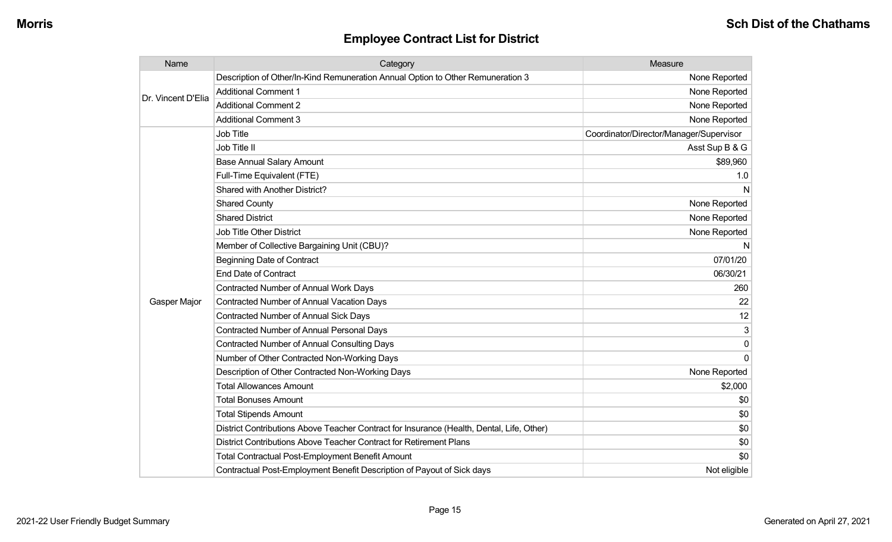| Name               | Category                                                                                  | Measure                                 |
|--------------------|-------------------------------------------------------------------------------------------|-----------------------------------------|
|                    | Description of Other/In-Kind Remuneration Annual Option to Other Remuneration 3           | None Reported                           |
| Dr. Vincent D'Elia | <b>Additional Comment 1</b>                                                               | None Reported                           |
|                    | <b>Additional Comment 2</b>                                                               | None Reported                           |
|                    | <b>Additional Comment 3</b>                                                               | None Reported                           |
|                    | Job Title                                                                                 | Coordinator/Director/Manager/Supervisor |
|                    | Job Title II                                                                              | Asst Sup B & G                          |
|                    | <b>Base Annual Salary Amount</b>                                                          | \$89,960                                |
|                    | Full-Time Equivalent (FTE)                                                                | 1.0                                     |
|                    | Shared with Another District?                                                             | N                                       |
|                    | <b>Shared County</b>                                                                      | None Reported                           |
|                    | <b>Shared District</b>                                                                    | None Reported                           |
|                    | <b>Job Title Other District</b>                                                           | None Reported                           |
|                    | Member of Collective Bargaining Unit (CBU)?                                               | N                                       |
|                    | <b>Beginning Date of Contract</b>                                                         | 07/01/20                                |
|                    | <b>End Date of Contract</b>                                                               | 06/30/21                                |
|                    | Contracted Number of Annual Work Days                                                     | 260                                     |
| Gasper Major       | <b>Contracted Number of Annual Vacation Days</b>                                          | 22                                      |
|                    | <b>Contracted Number of Annual Sick Days</b>                                              | 12                                      |
|                    | Contracted Number of Annual Personal Days                                                 | 3                                       |
|                    | <b>Contracted Number of Annual Consulting Days</b>                                        | $\Omega$                                |
|                    | Number of Other Contracted Non-Working Days                                               | $\Omega$                                |
|                    | Description of Other Contracted Non-Working Days                                          | None Reported                           |
|                    | <b>Total Allowances Amount</b>                                                            | \$2,000                                 |
|                    | <b>Total Bonuses Amount</b>                                                               | \$0                                     |
|                    | <b>Total Stipends Amount</b>                                                              | \$0                                     |
|                    | District Contributions Above Teacher Contract for Insurance (Health, Dental, Life, Other) | \$0                                     |
|                    | District Contributions Above Teacher Contract for Retirement Plans                        | \$0                                     |
|                    | Total Contractual Post-Employment Benefit Amount                                          | \$0                                     |
|                    | Contractual Post-Employment Benefit Description of Payout of Sick days                    | Not eligible                            |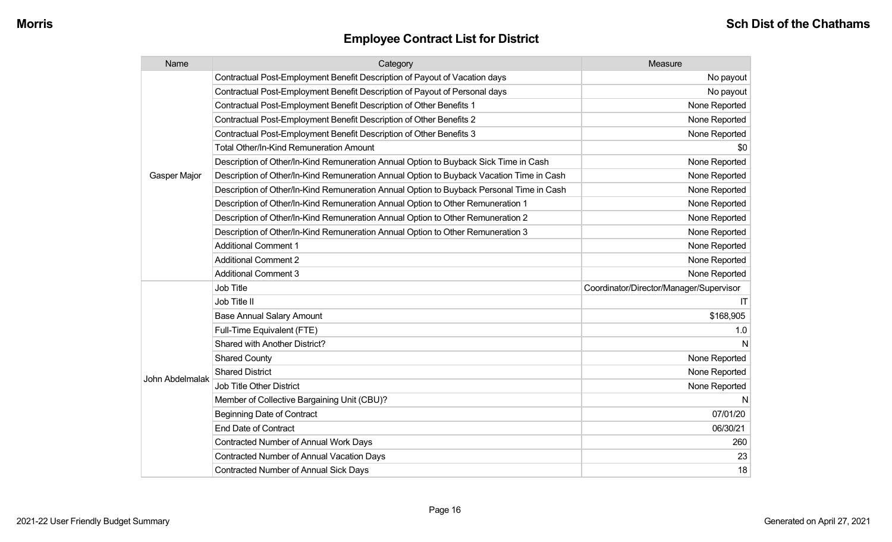| Name                | Category                                                                                 | Measure                                 |
|---------------------|------------------------------------------------------------------------------------------|-----------------------------------------|
|                     | Contractual Post-Employment Benefit Description of Payout of Vacation days               | No payout                               |
|                     | Contractual Post-Employment Benefit Description of Payout of Personal days               | No payout                               |
|                     | Contractual Post-Employment Benefit Description of Other Benefits 1                      | None Reported                           |
|                     | Contractual Post-Employment Benefit Description of Other Benefits 2                      | None Reported                           |
|                     | Contractual Post-Employment Benefit Description of Other Benefits 3                      | None Reported                           |
|                     | <b>Total Other/In-Kind Remuneration Amount</b>                                           | \$0                                     |
|                     | Description of Other/In-Kind Remuneration Annual Option to Buyback Sick Time in Cash     | None Reported                           |
| <b>Gasper Major</b> | Description of Other/In-Kind Remuneration Annual Option to Buyback Vacation Time in Cash | None Reported                           |
|                     | Description of Other/In-Kind Remuneration Annual Option to Buyback Personal Time in Cash | None Reported                           |
|                     | Description of Other/In-Kind Remuneration Annual Option to Other Remuneration 1          | None Reported                           |
|                     | Description of Other/In-Kind Remuneration Annual Option to Other Remuneration 2          | None Reported                           |
|                     | Description of Other/In-Kind Remuneration Annual Option to Other Remuneration 3          | None Reported                           |
|                     | <b>Additional Comment 1</b>                                                              | None Reported                           |
|                     | <b>Additional Comment 2</b>                                                              | None Reported                           |
|                     | <b>Additional Comment 3</b>                                                              | None Reported                           |
|                     | <b>Job Title</b>                                                                         | Coordinator/Director/Manager/Supervisor |
|                     | Job Title II                                                                             | T                                       |
|                     | <b>Base Annual Salary Amount</b>                                                         | \$168,905                               |
|                     | Full-Time Equivalent (FTE)                                                               | 1.0                                     |
|                     | Shared with Another District?                                                            | N                                       |
|                     | <b>Shared County</b>                                                                     | None Reported                           |
|                     | <b>Shared District</b>                                                                   | None Reported                           |
| John Abdelmalak     | <b>Job Title Other District</b>                                                          | None Reported                           |
|                     | Member of Collective Bargaining Unit (CBU)?                                              | N                                       |
|                     | <b>Beginning Date of Contract</b>                                                        | 07/01/20                                |
|                     | <b>End Date of Contract</b>                                                              | 06/30/21                                |
|                     | <b>Contracted Number of Annual Work Days</b>                                             | 260                                     |
|                     | <b>Contracted Number of Annual Vacation Days</b>                                         | 23                                      |
|                     | <b>Contracted Number of Annual Sick Days</b>                                             | 18                                      |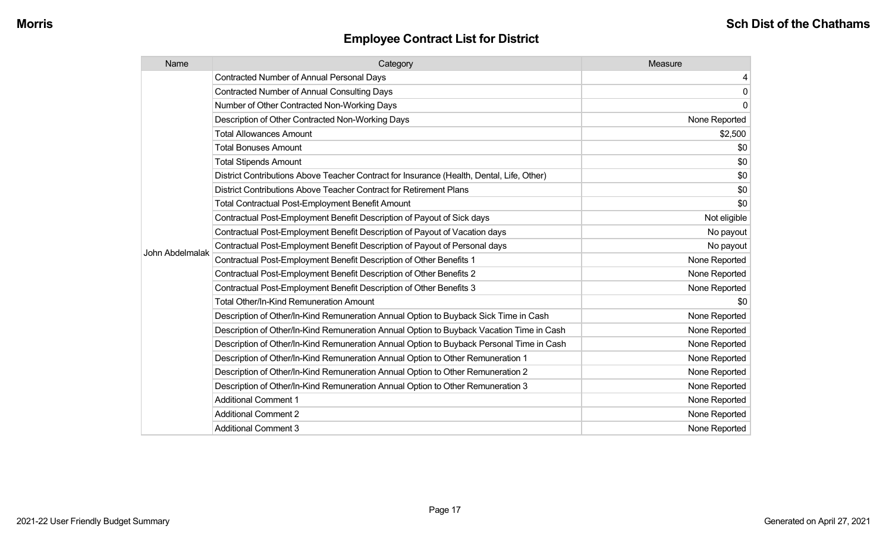| Name            | Category                                                                                  | Measure       |
|-----------------|-------------------------------------------------------------------------------------------|---------------|
|                 | <b>Contracted Number of Annual Personal Days</b>                                          | 4             |
|                 | <b>Contracted Number of Annual Consulting Days</b>                                        | $\mathbf 0$   |
|                 | Number of Other Contracted Non-Working Days                                               | $\mathbf 0$   |
|                 | Description of Other Contracted Non-Working Days                                          | None Reported |
|                 | <b>Total Allowances Amount</b>                                                            | \$2,500       |
|                 | <b>Total Bonuses Amount</b>                                                               | \$0           |
|                 | <b>Total Stipends Amount</b>                                                              | \$0           |
|                 | District Contributions Above Teacher Contract for Insurance (Health, Dental, Life, Other) | \$0           |
|                 | District Contributions Above Teacher Contract for Retirement Plans                        | \$0           |
|                 | Total Contractual Post-Employment Benefit Amount                                          | \$0           |
|                 | Contractual Post-Employment Benefit Description of Payout of Sick days                    | Not eligible  |
|                 | Contractual Post-Employment Benefit Description of Payout of Vacation days                | No payout     |
| John Abdelmalak | Contractual Post-Employment Benefit Description of Payout of Personal days                | No payout     |
|                 | Contractual Post-Employment Benefit Description of Other Benefits 1                       | None Reported |
|                 | Contractual Post-Employment Benefit Description of Other Benefits 2                       | None Reported |
|                 | Contractual Post-Employment Benefit Description of Other Benefits 3                       | None Reported |
|                 | <b>Total Other/In-Kind Remuneration Amount</b>                                            | \$0           |
|                 | Description of Other/In-Kind Remuneration Annual Option to Buyback Sick Time in Cash      | None Reported |
|                 | Description of Other/In-Kind Remuneration Annual Option to Buyback Vacation Time in Cash  | None Reported |
|                 | Description of Other/In-Kind Remuneration Annual Option to Buyback Personal Time in Cash  | None Reported |
|                 | Description of Other/In-Kind Remuneration Annual Option to Other Remuneration 1           | None Reported |
|                 | Description of Other/In-Kind Remuneration Annual Option to Other Remuneration 2           | None Reported |
|                 | Description of Other/In-Kind Remuneration Annual Option to Other Remuneration 3           | None Reported |
|                 | <b>Additional Comment 1</b>                                                               | None Reported |
|                 | <b>Additional Comment 2</b>                                                               | None Reported |
|                 | <b>Additional Comment 3</b>                                                               | None Reported |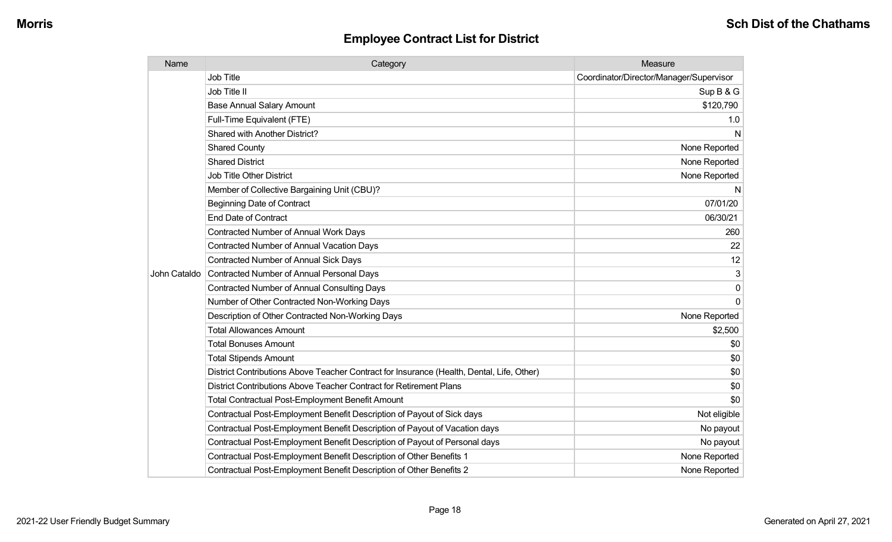| Name         | Category                                                                                  | Measure                                 |
|--------------|-------------------------------------------------------------------------------------------|-----------------------------------------|
|              | <b>Job Title</b>                                                                          | Coordinator/Director/Manager/Supervisor |
|              | Job Title II                                                                              | Sup B & G                               |
|              | <b>Base Annual Salary Amount</b>                                                          | \$120,790                               |
|              | Full-Time Equivalent (FTE)                                                                | 1.0                                     |
|              | Shared with Another District?                                                             | N                                       |
|              | <b>Shared County</b>                                                                      | None Reported                           |
|              | <b>Shared District</b>                                                                    | None Reported                           |
|              | <b>Job Title Other District</b>                                                           | None Reported                           |
|              | Member of Collective Bargaining Unit (CBU)?                                               | N                                       |
|              | <b>Beginning Date of Contract</b>                                                         | 07/01/20                                |
|              | <b>End Date of Contract</b>                                                               | 06/30/21                                |
|              | Contracted Number of Annual Work Days                                                     | 260                                     |
|              | <b>Contracted Number of Annual Vacation Days</b>                                          | 22                                      |
|              | Contracted Number of Annual Sick Days                                                     | 12                                      |
| John Cataldo | Contracted Number of Annual Personal Days                                                 | 3                                       |
|              | <b>Contracted Number of Annual Consulting Days</b>                                        | $\Omega$                                |
|              | Number of Other Contracted Non-Working Days                                               | $\Omega$                                |
|              | Description of Other Contracted Non-Working Days                                          | None Reported                           |
|              | <b>Total Allowances Amount</b>                                                            | \$2,500                                 |
|              | <b>Total Bonuses Amount</b>                                                               | \$0                                     |
|              | <b>Total Stipends Amount</b>                                                              | \$0                                     |
|              | District Contributions Above Teacher Contract for Insurance (Health, Dental, Life, Other) | \$0                                     |
|              | District Contributions Above Teacher Contract for Retirement Plans                        | \$0                                     |
|              | <b>Total Contractual Post-Employment Benefit Amount</b>                                   | \$0                                     |
|              | Contractual Post-Employment Benefit Description of Payout of Sick days                    | Not eligible                            |
|              | Contractual Post-Employment Benefit Description of Payout of Vacation days                | No payout                               |
|              | Contractual Post-Employment Benefit Description of Payout of Personal days                | No payout                               |
|              | Contractual Post-Employment Benefit Description of Other Benefits 1                       | None Reported                           |
|              | Contractual Post-Employment Benefit Description of Other Benefits 2                       | None Reported                           |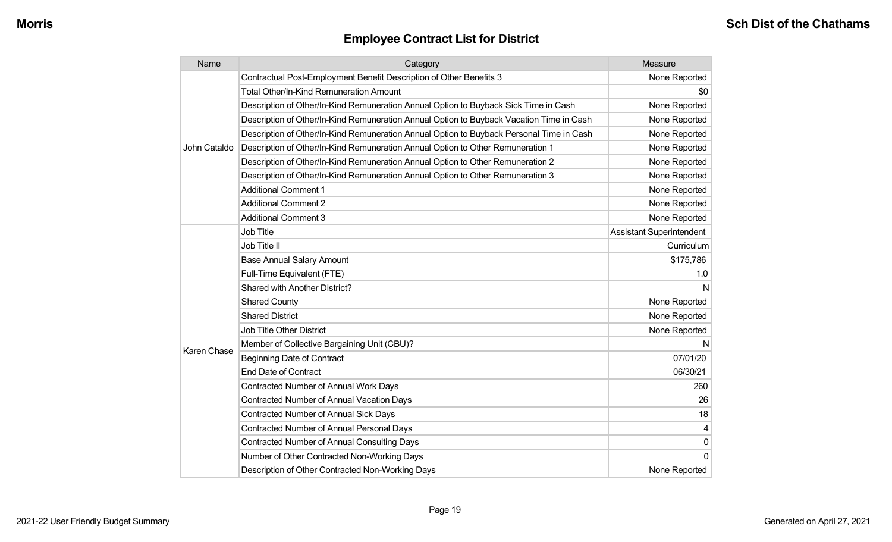| Name         | Category                                                                                 | Measure                         |
|--------------|------------------------------------------------------------------------------------------|---------------------------------|
|              | Contractual Post-Employment Benefit Description of Other Benefits 3                      | None Reported                   |
|              | <b>Total Other/In-Kind Remuneration Amount</b>                                           | \$0                             |
|              | Description of Other/In-Kind Remuneration Annual Option to Buyback Sick Time in Cash     | None Reported                   |
|              | Description of Other/In-Kind Remuneration Annual Option to Buyback Vacation Time in Cash | None Reported                   |
|              | Description of Other/In-Kind Remuneration Annual Option to Buyback Personal Time in Cash | None Reported                   |
| John Cataldo | Description of Other/In-Kind Remuneration Annual Option to Other Remuneration 1          | None Reported                   |
|              | Description of Other/In-Kind Remuneration Annual Option to Other Remuneration 2          | None Reported                   |
|              | Description of Other/In-Kind Remuneration Annual Option to Other Remuneration 3          | None Reported                   |
|              | <b>Additional Comment 1</b>                                                              | None Reported                   |
|              | <b>Additional Comment 2</b>                                                              | None Reported                   |
|              | <b>Additional Comment 3</b>                                                              | None Reported                   |
|              | <b>Job Title</b>                                                                         | <b>Assistant Superintendent</b> |
|              | Job Title II                                                                             | Curriculum                      |
|              | <b>Base Annual Salary Amount</b>                                                         | \$175,786                       |
|              | Full-Time Equivalent (FTE)                                                               | 1.0                             |
|              | Shared with Another District?                                                            | N                               |
|              | <b>Shared County</b>                                                                     | None Reported                   |
|              | <b>Shared District</b>                                                                   | None Reported                   |
|              | <b>Job Title Other District</b>                                                          | None Reported                   |
| Karen Chase  | Member of Collective Bargaining Unit (CBU)?                                              | N                               |
|              | <b>Beginning Date of Contract</b>                                                        | 07/01/20                        |
|              | <b>End Date of Contract</b>                                                              | 06/30/21                        |
|              | <b>Contracted Number of Annual Work Days</b>                                             | 260                             |
|              | <b>Contracted Number of Annual Vacation Days</b>                                         | 26                              |
|              | Contracted Number of Annual Sick Days                                                    | 18                              |
|              | Contracted Number of Annual Personal Days                                                | 4                               |
|              | <b>Contracted Number of Annual Consulting Days</b>                                       | 0                               |
|              | Number of Other Contracted Non-Working Days                                              | $\Omega$                        |
|              | Description of Other Contracted Non-Working Days                                         | None Reported                   |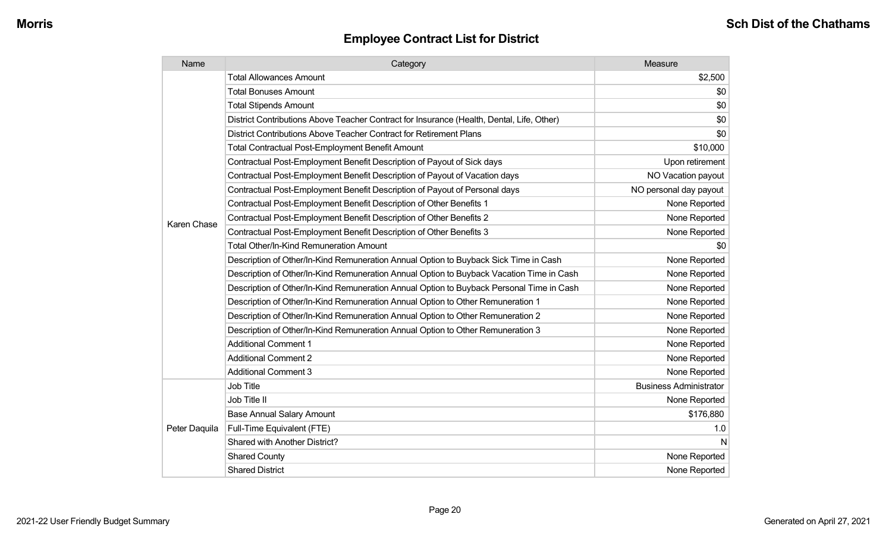| Name               | Category                                                                                  | Measure                       |
|--------------------|-------------------------------------------------------------------------------------------|-------------------------------|
|                    | <b>Total Allowances Amount</b>                                                            | \$2,500                       |
|                    | <b>Total Bonuses Amount</b>                                                               | \$0                           |
|                    | <b>Total Stipends Amount</b>                                                              | \$0                           |
|                    | District Contributions Above Teacher Contract for Insurance (Health, Dental, Life, Other) | \$0                           |
|                    | District Contributions Above Teacher Contract for Retirement Plans                        | \$0                           |
|                    | <b>Total Contractual Post-Employment Benefit Amount</b>                                   | \$10,000                      |
|                    | Contractual Post-Employment Benefit Description of Payout of Sick days                    | Upon retirement               |
|                    | Contractual Post-Employment Benefit Description of Payout of Vacation days                | NO Vacation payout            |
|                    | Contractual Post-Employment Benefit Description of Payout of Personal days                | NO personal day payout        |
|                    | Contractual Post-Employment Benefit Description of Other Benefits 1                       | None Reported                 |
| <b>Karen Chase</b> | Contractual Post-Employment Benefit Description of Other Benefits 2                       | None Reported                 |
|                    | Contractual Post-Employment Benefit Description of Other Benefits 3                       | None Reported                 |
|                    | Total Other/In-Kind Remuneration Amount                                                   | \$0                           |
|                    | Description of Other/In-Kind Remuneration Annual Option to Buyback Sick Time in Cash      | None Reported                 |
|                    | Description of Other/In-Kind Remuneration Annual Option to Buyback Vacation Time in Cash  | None Reported                 |
|                    | Description of Other/In-Kind Remuneration Annual Option to Buyback Personal Time in Cash  | None Reported                 |
|                    | Description of Other/In-Kind Remuneration Annual Option to Other Remuneration 1           | None Reported                 |
|                    | Description of Other/In-Kind Remuneration Annual Option to Other Remuneration 2           | None Reported                 |
|                    | Description of Other/In-Kind Remuneration Annual Option to Other Remuneration 3           | None Reported                 |
|                    | <b>Additional Comment 1</b>                                                               | None Reported                 |
|                    | <b>Additional Comment 2</b>                                                               | None Reported                 |
|                    | <b>Additional Comment 3</b>                                                               | None Reported                 |
|                    | Job Title                                                                                 | <b>Business Administrator</b> |
| Peter Daquila      | Job Title II                                                                              | None Reported                 |
|                    | <b>Base Annual Salary Amount</b>                                                          | \$176,880                     |
|                    | Full-Time Equivalent (FTE)                                                                | 1.0                           |
|                    | Shared with Another District?                                                             | N                             |
|                    | <b>Shared County</b>                                                                      | None Reported                 |
|                    | <b>Shared District</b>                                                                    | None Reported                 |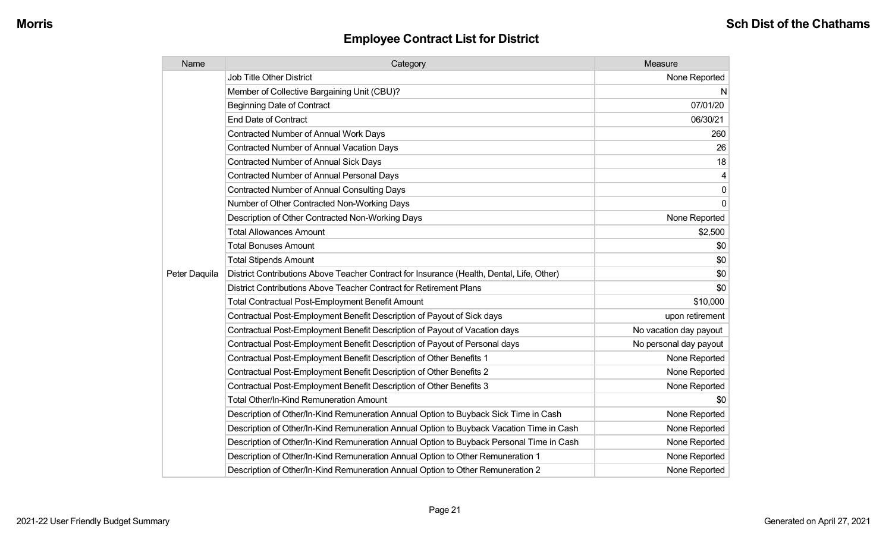| Name          | Category                                                                                  | Measure                |
|---------------|-------------------------------------------------------------------------------------------|------------------------|
|               | <b>Job Title Other District</b>                                                           | None Reported          |
|               | Member of Collective Bargaining Unit (CBU)?                                               | N                      |
|               | <b>Beginning Date of Contract</b>                                                         | 07/01/20               |
|               | <b>End Date of Contract</b>                                                               | 06/30/21               |
|               | <b>Contracted Number of Annual Work Days</b>                                              | 260                    |
|               | <b>Contracted Number of Annual Vacation Days</b>                                          | 26                     |
|               | <b>Contracted Number of Annual Sick Days</b>                                              | 18                     |
|               | <b>Contracted Number of Annual Personal Days</b>                                          | 4                      |
|               | Contracted Number of Annual Consulting Days                                               | 0                      |
|               | Number of Other Contracted Non-Working Days                                               | $\Omega$               |
|               | Description of Other Contracted Non-Working Days                                          | None Reported          |
|               | <b>Total Allowances Amount</b>                                                            | \$2,500                |
|               | <b>Total Bonuses Amount</b>                                                               | \$0                    |
|               | <b>Total Stipends Amount</b>                                                              | \$0                    |
| Peter Daquila | District Contributions Above Teacher Contract for Insurance (Health, Dental, Life, Other) | \$0                    |
|               | District Contributions Above Teacher Contract for Retirement Plans                        | \$0                    |
|               | <b>Total Contractual Post-Employment Benefit Amount</b>                                   | \$10,000               |
|               | Contractual Post-Employment Benefit Description of Payout of Sick days                    | upon retirement        |
|               | Contractual Post-Employment Benefit Description of Payout of Vacation days                | No vacation day payout |
|               | Contractual Post-Employment Benefit Description of Payout of Personal days                | No personal day payout |
|               | Contractual Post-Employment Benefit Description of Other Benefits 1                       | None Reported          |
|               | Contractual Post-Employment Benefit Description of Other Benefits 2                       | None Reported          |
|               | Contractual Post-Employment Benefit Description of Other Benefits 3                       | None Reported          |
|               | Total Other/In-Kind Remuneration Amount                                                   | \$0                    |
|               | Description of Other/In-Kind Remuneration Annual Option to Buyback Sick Time in Cash      | None Reported          |
|               | Description of Other/In-Kind Remuneration Annual Option to Buyback Vacation Time in Cash  | None Reported          |
|               | Description of Other/In-Kind Remuneration Annual Option to Buyback Personal Time in Cash  | None Reported          |
|               | Description of Other/In-Kind Remuneration Annual Option to Other Remuneration 1           | None Reported          |
|               | Description of Other/In-Kind Remuneration Annual Option to Other Remuneration 2           | None Reported          |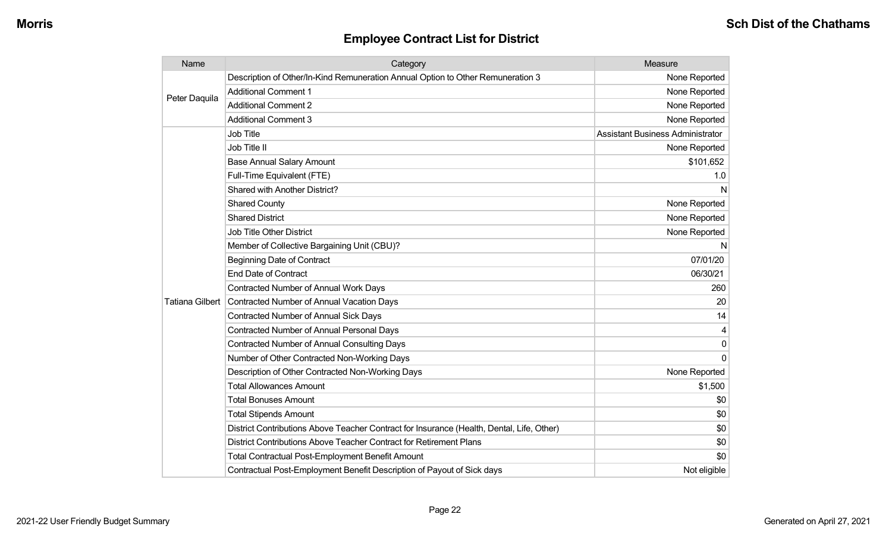| Name                   | Category                                                                                  | Measure                                 |
|------------------------|-------------------------------------------------------------------------------------------|-----------------------------------------|
| Peter Daquila          | Description of Other/In-Kind Remuneration Annual Option to Other Remuneration 3           | None Reported                           |
|                        | <b>Additional Comment 1</b>                                                               | None Reported                           |
|                        | <b>Additional Comment 2</b>                                                               | None Reported                           |
|                        | <b>Additional Comment 3</b>                                                               | None Reported                           |
|                        | Job Title                                                                                 | <b>Assistant Business Administrator</b> |
|                        | Job Title II                                                                              | None Reported                           |
|                        | <b>Base Annual Salary Amount</b>                                                          | \$101,652                               |
|                        | Full-Time Equivalent (FTE)                                                                | 1.0                                     |
|                        | Shared with Another District?                                                             | N                                       |
|                        | <b>Shared County</b>                                                                      | None Reported                           |
|                        | <b>Shared District</b>                                                                    | None Reported                           |
|                        | <b>Job Title Other District</b>                                                           | None Reported                           |
|                        | Member of Collective Bargaining Unit (CBU)?                                               | N                                       |
|                        | <b>Beginning Date of Contract</b>                                                         | 07/01/20                                |
|                        | <b>End Date of Contract</b>                                                               | 06/30/21                                |
|                        | <b>Contracted Number of Annual Work Days</b>                                              | 260                                     |
| <b>Tatiana Gilbert</b> | Contracted Number of Annual Vacation Days                                                 | 20                                      |
|                        | <b>Contracted Number of Annual Sick Days</b>                                              | 14                                      |
|                        | <b>Contracted Number of Annual Personal Days</b>                                          |                                         |
|                        | <b>Contracted Number of Annual Consulting Days</b>                                        | 0                                       |
|                        | Number of Other Contracted Non-Working Days                                               | $\Omega$                                |
|                        | Description of Other Contracted Non-Working Days                                          | None Reported                           |
|                        | <b>Total Allowances Amount</b>                                                            | \$1,500                                 |
|                        | <b>Total Bonuses Amount</b>                                                               | \$0                                     |
|                        | <b>Total Stipends Amount</b>                                                              | \$0                                     |
|                        | District Contributions Above Teacher Contract for Insurance (Health, Dental, Life, Other) | \$0                                     |
|                        | District Contributions Above Teacher Contract for Retirement Plans                        | \$0                                     |
|                        | <b>Total Contractual Post-Employment Benefit Amount</b>                                   | \$0                                     |
|                        | Contractual Post-Employment Benefit Description of Payout of Sick days                    | Not eligible                            |